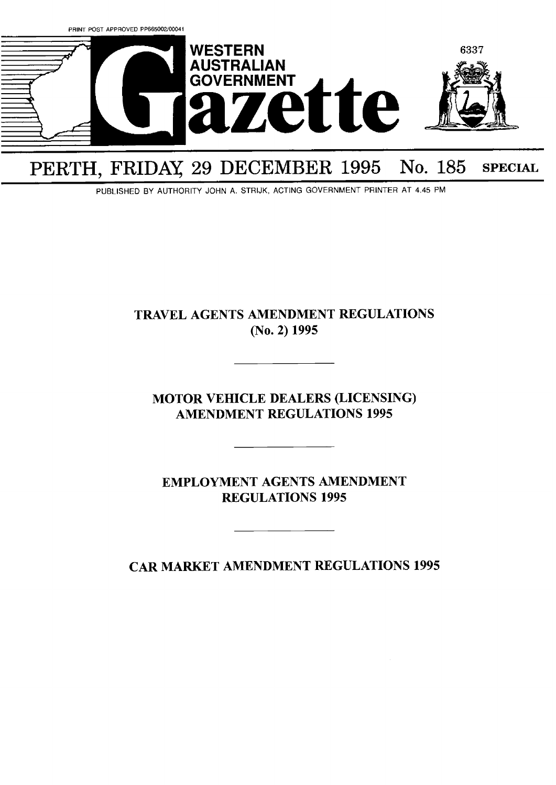

## PERTH, **FRIDAX** 29 DECEMBER **1995** No. 185 **SPECIAL**

PUBLISHED BY AUTHORITY JOHN A. STRIJK, ACTING GOVERNMENT PRINTER AT 4.45 PM

### **TRAVEL AGENTS AMENDMENT REGULATIONS (No. 2) 1995**

**MOTOR VEHICLE DEALERS (LICENSING) AMENDMENT REGULATIONS 1995** 

**EMPLOYMENT AGENTS AMENDMENT REGULATIONS 1995** 

**CAR MARKET AMENDMENT REGULATIONS 1995**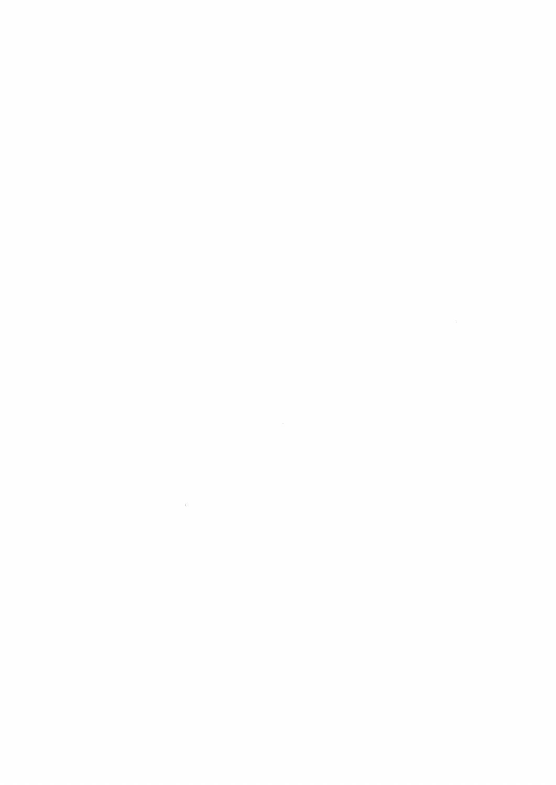$\label{eq:2.1} \frac{1}{\sqrt{2}}\int_{0}^{\infty}\frac{1}{\sqrt{2\pi}}\left(\frac{1}{\sqrt{2\pi}}\right)^{2\alpha} \frac{1}{\sqrt{2\pi}}\int_{0}^{\infty}\frac{1}{\sqrt{2\pi}}\left(\frac{1}{\sqrt{2\pi}}\right)^{\alpha} \frac{1}{\sqrt{2\pi}}\frac{1}{\sqrt{2\pi}}\int_{0}^{\infty}\frac{1}{\sqrt{2\pi}}\frac{1}{\sqrt{2\pi}}\frac{1}{\sqrt{2\pi}}\frac{1}{\sqrt{2\pi}}\frac{1}{\sqrt{2\pi}}\frac{1}{\sqrt{2\pi}}$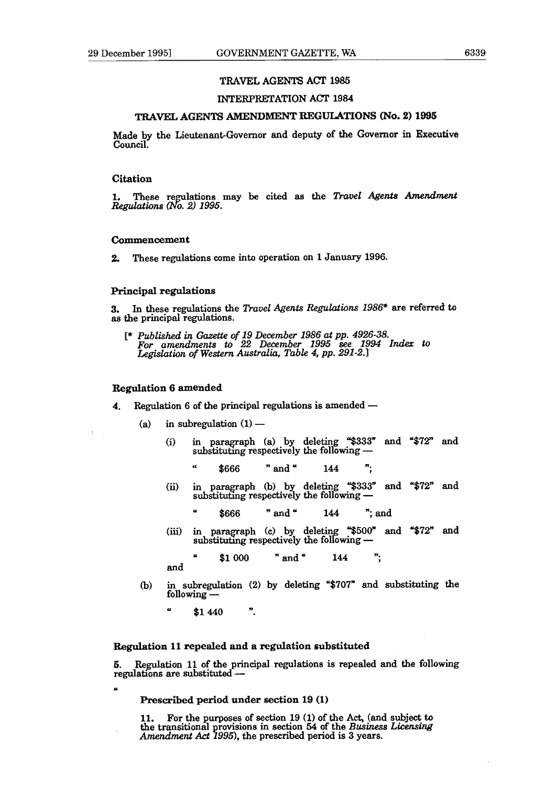### **TRAVEL AGENTS ACT 1985**

### **INTERPRETATION ACT 1984**

### **TRAVEL AGF;NTS AMENDMENT REGULATLONS WO. 2) l996**

Made by the Lieutenant-Governor and deputy of the Governor in Executive Council.

### **Citation**

**1.** These regulations may be cited as the *Travel Agents Amendment* <br>Regulations (No. 2) 1995.

### **Commencement**

**2.** These regulations come **into** operation on 1 January 1996.

### **Principal regulations**

**3.** In these regulations the *Travel Agents* Regulations **1986\*** are referred **to**  as the principal regulations.

[\* *Published in* **Gazette** *of 19 December 1986* **at** *pp. 4926-38. For amendments to 22 December 1995* **see** *1994 Index* **to Legislation** *of Western Australia, Table 4,* **pp.** *291-2.1* 

### **Regulation 6 amended**

- **Regulation 6 amended**<br>4. Regulation 6 of the principal regulations is amended egulation 6 of the principal regulation  $(1)$  -
	- - (i) in paragraph (a) by deleting "\$333" and "\$72" and substatutmg respectively the following -
			- " \$666 "and" 144 **n. Y**
		- (ii) in paragraph (b) by deleting **"\$333"** and "\$72" and  $\frac{1}{2}$ <br>in paragraph (b) by deleting "\$333" substituting respectively the following —

 $*$  \$666 " and " 144 "; and

iii) in paragraph (c) by deleting "\$500" and "\$72" and substituting respectively the following -<br>substituting respectively the following -

**9** 

 $"$  \$1 000  $"$  and " 144 "; and

**U** 

(b) in subregulation (2) by deleting "\$707" and substituting the and<br>in subregulation<br>following —

 $4$  \$1.440  $^{\circ}$ .

### **Regulation 11 repealed and a regulation substituted**

**5.** Regulation 11 of the principal regulations is repealed and the following regulations are substituted  $-$ 

**Prescribed period under section 19 (1)** 

**11.** For the purposes of section **!9** (1) of the Act, (and subject to the transitional provisions **in** section 54 of the *Bushess* **Licensing Amendment** Act **1995),** the prescribed period is 3 years.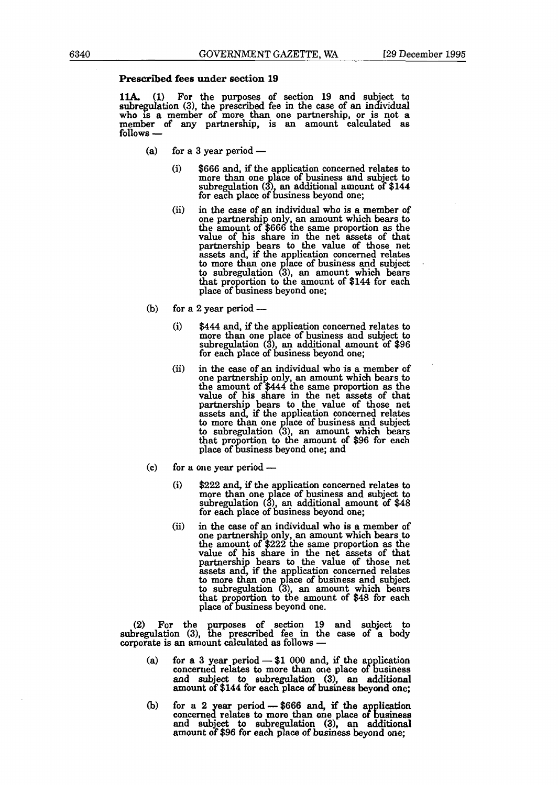### **Prescribed fees under section 19**

**1lA. (1)** For the purposes of section 19 and sub'ect **to**  subregulation **(3),** the prescribed fee in the ease of **an** individual who is a member of more than one partnership, or is not a member of any partnership, is **an** amount calculated as who is a m<br>member of<br>follows -

- for a 3 year period  $(a)$ 
	- (i) **\$666** and, **if** the application concerned relates to more than one place of business and subject to subregulation **(3)**, an additional amount of \$144 for each place of business beyond one;
	- (ii) in the case of an individual who is a member of one partnership only, an amount which bears to the amount of \$666 the same proportion as the value of his share in the net assets of that partnership bears to the value of those net assets and, if the application concerned relates to more **than** one **face** of business and subject to subregulation (3), an amount which bears that proportion to the amount of \$144 for each place of business beyond one;
- $(b)$ for a 2 year period  $-$ 
	- (i) \$444 and, if the application concerned relates to more than one place of business and subject to subregulation **(3),** an additional amount of \$96 for each place of business beyond one;
	- **(ii)** in the case of an individual who is a member of one partnership only, an amount which bears to the amount of \$444 the same proportion as the value of his share in the net assets of that partnership bears to the value of those net assets and, if the application concerned relates to more than one place of business and subject to subregulation &), an amount which **bears**  that proportion to the amount of \$96 for each place of business beyond one; and
- $(c)$ for a one year period  $-$ 
	- (i) **\$222** and, **if** the application concerned relates to more than one place of business and subject to subregulation (3), an additional amount of \$48 for each place of business beyond one;
	- (ii) in the case of an individual who is a member of one partnership only, an amount which bears to the amount of **\$222** the same proportion as the value of his share in the net assets of that partnership bears to the value of those net assets and, if the application concerned relates to more than one place of business and subject to subregulation  $(3)$ , an amount which bears that proportion to the amount of \$48 for each place of business beyond one.

(2) Fox the purposes of section 19 and subject **to**  subregulation (3), the prescribed fee in the case of a body (2) For the purposes of section 19 asubregulation (3), the prescribed fee in the corporate is an amount calculated as follows -

- (a) for a 3 year period  $-$  \$1 000 and, if the application concerned relates to more than one place of business for a 3 year period - \$1 000 and, if the application concerned relates to more than one place of business and subject to subregulation *(31,* **an** additional
- amount of \$144 for each place of business beyond one;<br>
(b) for a 2 year period \$666 and, if the application<br>
concerned relates to more than one place of business for a 2 year period - \$666 and, if the application concerned relates to more than one place of business and subject to subregulation (3), an additional amount of \$96 for each place of business beyond one;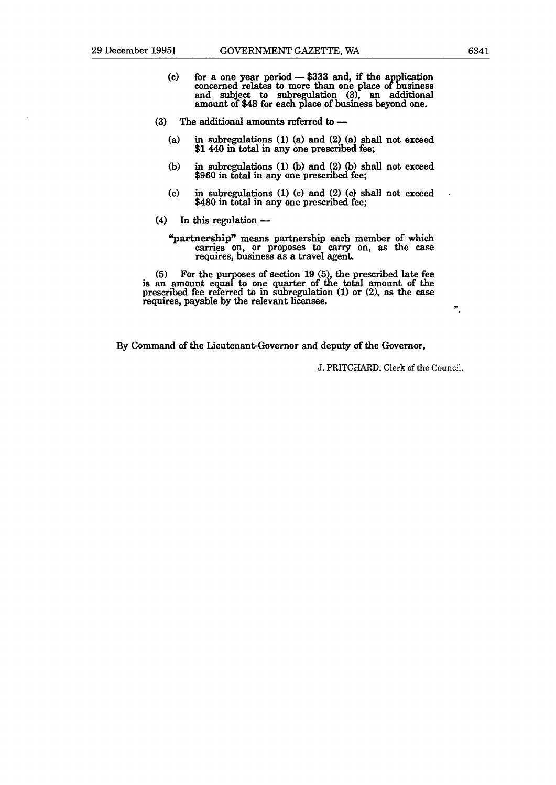- (c) for a one year period \$333 and, if the application<br>concerned relates to more than one place of business<br>and subject to subregulation (3), an additional<br>amount of \$48 for each place of business beyond one. and subject to subregulation (b),<br>amount of \$48 for each place of busine<br>(3) The additional amounts referred to --
- - (a) in subregulations (1) (a) **and** (2) **(a) shall** not exceed \$1 440 in total **in any** one prescribed fee;
	- (b) in subregulations (1) **(b) and** (2) **(b)** shall not **exceed**  \$960 in **total in any** one **prescribed** fee;
	- (C) in subregulations (1) (c) and **(2) (c)** shall not exceed . **\$480** in **total** in any one prescribed fee;
- $(4)$  In this regulation  $-$

**"partnership"** means partnership each member of which carries on, or proposes **to carry** on, as the **case**  requires, business as a travel agent.

oses of section 19 **(5),** the prescribed **late** fee to one quarter of the total amount of the to in subregulation (1) or (2). **as** the **case**  requires, payable by the relevant licensee.

By Command of the Lieutenant-Governor and deputy of the Governor,

J. PRITCWD, **Clerk** of **the** Council.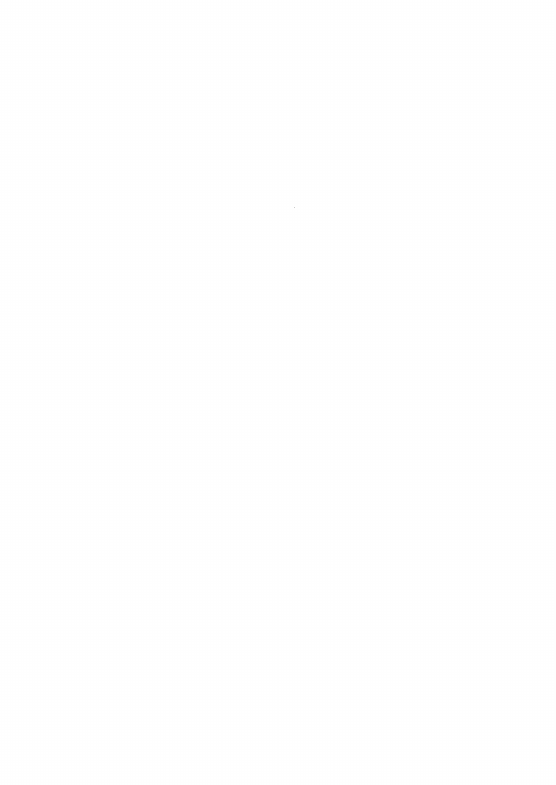$\label{eq:2.1} \frac{1}{\sqrt{2}}\int_{0}^{\infty}\frac{1}{\sqrt{2\pi}}\left(\frac{1}{\sqrt{2\pi}}\right)^{2\alpha} \frac{1}{\sqrt{2\pi}}\int_{0}^{\infty}\frac{1}{\sqrt{2\pi}}\left(\frac{1}{\sqrt{2\pi}}\right)^{\alpha} \frac{1}{\sqrt{2\pi}}\frac{1}{\sqrt{2\pi}}\int_{0}^{\infty}\frac{1}{\sqrt{2\pi}}\frac{1}{\sqrt{2\pi}}\frac{1}{\sqrt{2\pi}}\frac{1}{\sqrt{2\pi}}\frac{1}{\sqrt{2\pi}}\frac{1}{\sqrt{2\pi}}$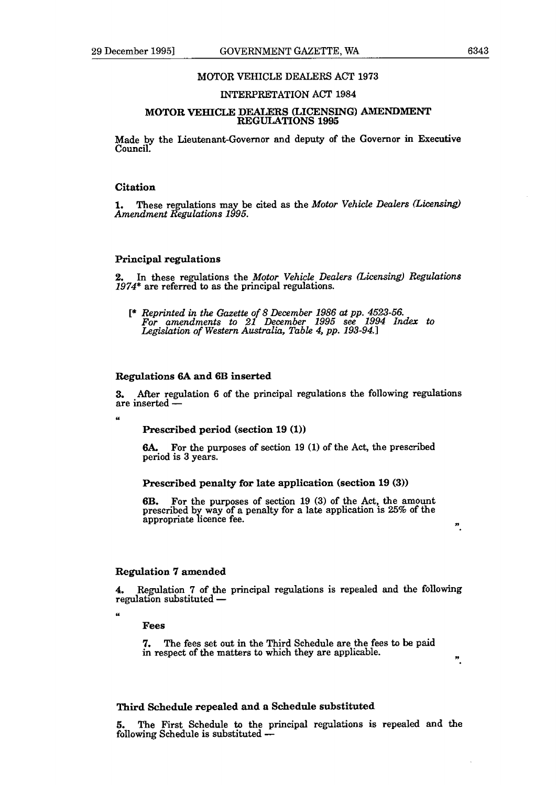### MOTOR VEHICLE **DEALERS** ACT **1973**

### INTERPRETATION ACT **1984**

### **MOTOR VEHICLE DEALERS (LICENSING) AMENDMENT REGULATIONS 1995**

Made by the Lieutenant-Governor **and** deputy of the Governor in Executive Council.

### **Citation**

1. These regulations may be cited as the *Motor Vehicle Dealers (Licensing) Amendment Regulations 1&5.* 

### **Principal regulations**

**2.** In these regulations the *Motor Vehicle Dealers (Licensing) Regulations 1974\** are referred **to** as the principal regulations.

l\* *Reprinted in the Gazette of 8 December 1986 at pp. 4523-56. For amendments to 21 December 1995* **see** *1994* **Index** *to Legislation of Western Australia, Table 4, pp. 193-94.1* 

### **Regulations 6A and 6B inserted**

**3.** After regulation 6 of the principal regulations the following regulations are inserted -

**Prescribed period (section 19 (1))** 

**6A.** For the purposes of section **19 (1)** of the Act, the prescribed period is **<sup>3</sup>**years.

**Prescribed penalty for late application (section 19 (3))** 

**6B.** For the purposes of section 19 (3) of the Act, the amount prescribed by way of a penalty for a late application is  $25\%$  of the appropriate licence fee. **n a n n n n n n n n n** 

### **Regulation 7 amended**

**4.** Regulation 7 of the principal regulations is repealed and the following regulation substituted -

**U** 

**U** 

### **Fees**

**7.** The fees set out in the Third Schedule are the fees **to** be paid in respect of the matters to which they are applicable. **<sup>n</sup>**

### **Third Schedule repealed and a Schedule substituted**

**5.** The First Schedule to the principal regulations is repealed and **the**  following Schedule is substituted -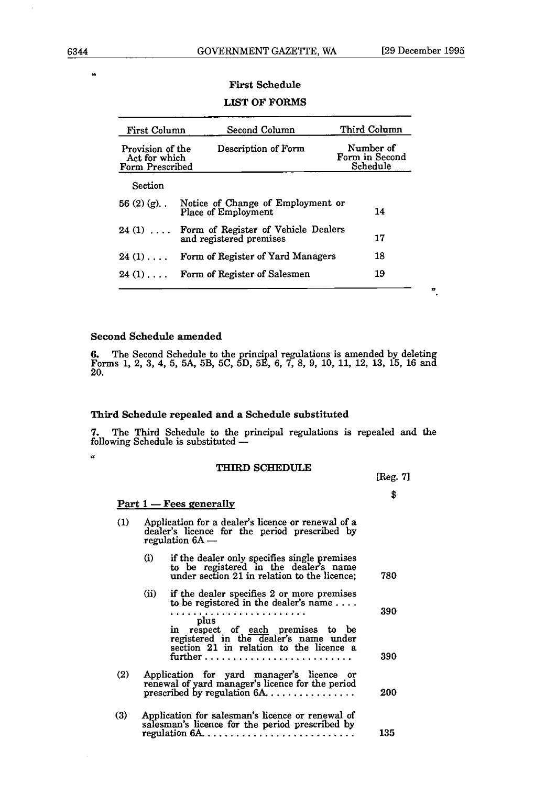$\overline{ }$ .

[Reg. **71** 

### First **Schedule LIST** OF **FORMS**

| <b>First Column</b>                                  |                                                                      | Second Column                                            | Third Column                            |
|------------------------------------------------------|----------------------------------------------------------------------|----------------------------------------------------------|-----------------------------------------|
| Provision of the<br>Act for which<br>Form Prescribed |                                                                      | Description of Form                                      | Number of<br>Form in Second<br>Schedule |
| Section                                              |                                                                      |                                                          |                                         |
| 56 $(2)$ $(g)$ .                                     |                                                                      | Notice of Change of Employment or<br>Place of Employment | 14                                      |
| $24(1) \ldots$                                       | Form of Register of Vehicle Dealers<br>and registered premises<br>17 |                                                          |                                         |
| $24(1) \ldots$                                       |                                                                      | Form of Register of Yard Managers                        | 18                                      |
|                                                      |                                                                      | $24(1) \ldots$ Form of Register of Salesmen              | 19                                      |

### **Second Schedule amended**

**6.** The Second Schedule to the principal regulations is amended by deleting  $\Gamma$ orms 1, 2, 3, 4, 5, 5A, 5B, 5C, 5D, 5E, 6, 7, 8, 9, 10, 11, 12, 13, 15, 16 and 20. f

### **Third Schedule repealed and a Schedule substituted**

**7.** The Third Schedule to the principal regulations is repealed **and** the The Schedule repeated and a Schedule is substituted -

| <b>THIRD SCHEDULE</b> |  |
|-----------------------|--|
|-----------------------|--|

|     |      |                                                                                                                                                                  | . <u>.</u> |
|-----|------|------------------------------------------------------------------------------------------------------------------------------------------------------------------|------------|
|     |      | $Part 1 - Fees generally$                                                                                                                                        | \$         |
| (1) |      | Application for a dealer's licence or renewal of a<br>dealer's licence for the period prescribed by<br>regulation $6A -$                                         |            |
|     | (i)  | if the dealer only specifies single premises<br>to be registered in the dealer's name<br>under section 21 in relation to the licence;                            | 780        |
|     | (ii) | if the dealer specifies 2 or more premises<br>to be registered in the dealer's name                                                                              |            |
|     |      | plus<br>in respect of each premises to be<br>registered in the dealer's name under<br>section 21 in relation to the licence a<br>further $\ldots$                | 390<br>390 |
| (2) |      | Application for yard manager's licence or<br>renewal of yard manager's licence for the period                                                                    | 200        |
| (3) |      | Application for salesman's licence or renewal of<br>salesman's licence for the period prescribed by<br>$requlation 6A \ldots \ldots \ldots \ldots \ldots \ldots$ | 135        |

 $\boldsymbol{\mu}$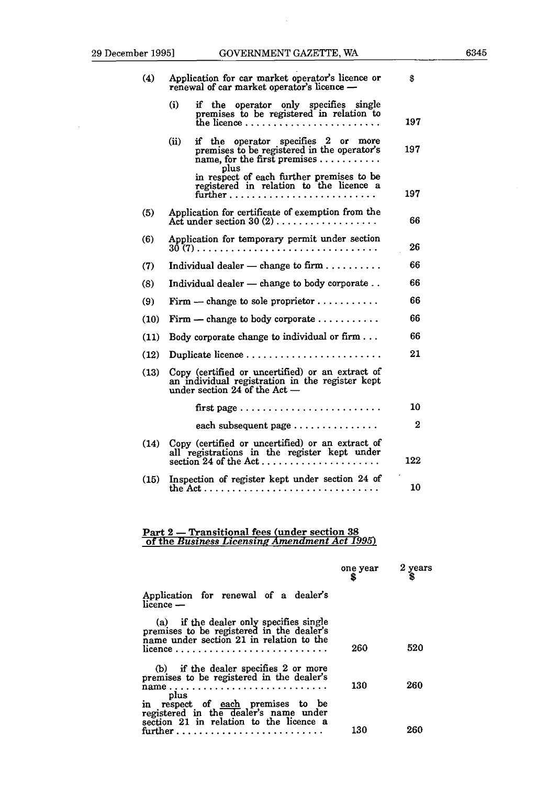$\sim$ 

 $\mathcal{A}$ 

| (4)  | Application for car market operator's licence or<br>renewal of car market operator's licence -                                                                                | \$  |
|------|-------------------------------------------------------------------------------------------------------------------------------------------------------------------------------|-----|
|      | (i)<br>if the operator only specifies single<br>premises to be registered in relation to<br>the licence                                                                       | 197 |
|      | if the operator specifies 2 or more<br>(ii)<br>premises to be registered in the operator's<br>name, for the first premises $\dots$<br>plus                                    | 197 |
|      | in respect of each further premises to be<br>registered in relation to the licence a                                                                                          | 197 |
| (5)  | Application for certificate of exemption from the<br>Act under section 30 $(2)$                                                                                               | 66  |
| (6)  | Application for temporary permit under section<br>$30(7)$                                                                                                                     | 26  |
| (7)  | Individual dealer — change to firm $\dots \dots$                                                                                                                              | 66  |
| (8)  | Individual dealer - change to body corporate                                                                                                                                  | 66  |
| (9)  | Firm — change to sole proprietor $\dots \dots \dots$                                                                                                                          | 66  |
| (10) | Firm — change to body corporate $\dots\dots\dots\dots$                                                                                                                        | 66  |
| (11) | Body corporate change to individual or firm                                                                                                                                   | 66  |
| (12) |                                                                                                                                                                               | 21  |
| (13) | Copy (certified or uncertified) or an extract of<br>an individual registration in the register kept<br>under section 24 of the Act $-$                                        |     |
|      |                                                                                                                                                                               | 10  |
|      | each subsequent page                                                                                                                                                          | 2   |
| (14) | Copy (certified or uncertified) or an extract of<br>all registrations in the register kept under<br>$\text{section 24 of the Act.} \ldots \ldots \ldots \ldots \ldots \ldots$ | 122 |
| (15) | Inspection of register kept under section 24 of<br>the $Act \ldots \ldots \ldots \ldots \ldots \ldots \ldots \ldots \ldots \ldots$                                            | 10  |

# **Part 2** - **Transitional fees (under section 38 of the** *Business Licensing Amendment Act* **1995)**

|                                                                                                                                                             | one year<br>S | 2 years |
|-------------------------------------------------------------------------------------------------------------------------------------------------------------|---------------|---------|
| Application for renewal of a dealer's<br>licence —                                                                                                          |               |         |
| (a) if the dealer only specifies single<br>premises to be registered in the dealer's<br>name under section 21 in relation to the<br>licence<br>. <b>.</b> . | 260           | 520     |
| (b) if the dealer specifies 2 or more                                                                                                                       |               |         |
| premises to be registered in the dealer's<br>name<br>plus                                                                                                   | 130           | 260     |
| in respect of each premises to be<br>registered in the dealer's name under<br>section 21 in relation to the licence a                                       |               |         |
| further .<br>.                                                                                                                                              | 130           | 260     |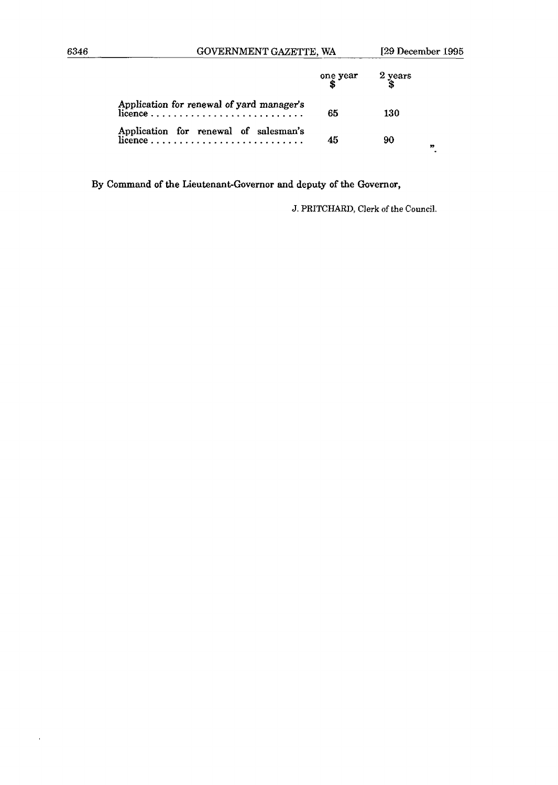**6346 GOVERNMENT GAZETTE, WA** [29 **December 1995** 

|                                                      | one year<br>$\frac{1}{3}$ | $2 \text{ years}$ |    |
|------------------------------------------------------|---------------------------|-------------------|----|
| Application for renewal of yard manager's<br>licence | 65                        | 130               |    |
| Application for renewal of salesman's<br>licence     | 45                        | 90                | 99 |

**By Command of the Lieutenant-Governor and deputy of the Governor,** 

J. PRITCHARD, **Clerk** of **the Council.**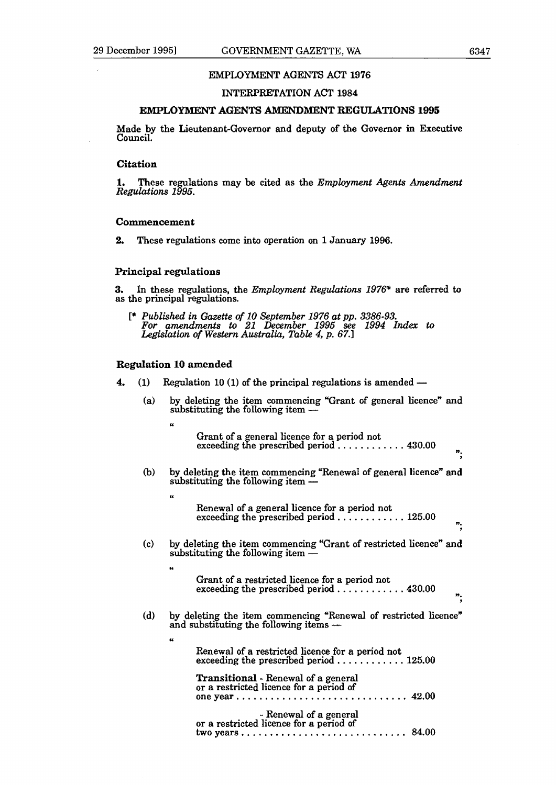### EMPLOYMENT AGENTS ACT 1976

### INTERPRETATION ACT **1984**

### **EMPLOYMENT AGENTS AMIENDMENT REGULATIONS** 1995

Made by the Lieutenant-Governor and deputy of the Governor in Executive Council.

### **Citation**

These regulations may be cited as the *Employment Agents Amendment Regulations 1995.* 

### **Commencement**

**2.** These regulations come **into** operation on 1 January 1996.

### **Principal regulations**

**3.** In these regulations, the *Emplgyment Regulations 1976\** are referred **to**  as the principal regulations.

[\* *Published in Gazette of 10 September 1976 at pp.* **3386-93.**  *For amendments to 21 December 1995* **see** *1994* **Index: to**  *Legislation of Western Australia, Table 4, p. 67.1* 

### **Regulation 10 amended**

 $\alpha$ 

 $\alpha$ 

 $\mu$ 

- $\overline{4}$ .  $(1)$ Regulation 10  $(1)$  of the principal regulations is amended  $$ 
	- by deleting the item commencing "Grant of general licence" and  $(a)$ substituting the following item -
		- Grant of a general licence for a period not<br>exceeding the prescribed period ........... 430.00
	- by deleting the item commencing "R<br>substituting the following item  $(b)$ by deleting the item commencing "Renewal of general licence" and
		- Renewal of a general licence for a period not exceeding the prescribed period . . . . . . . . . . . 125.00  $\blacksquare$
	- by deleting the item commencing "G<br>substituting the following item by deleting the item commencing "Grant of restricted licence" and  $(c)$ 
		- Grant of a restricted licence for a period not exceeding the prescribed period  $\ldots$   $\ldots$   $\ldots$  . 430.00  $\ldots$
	- by deleting the item commencing "Renev<br>and substituting the following items --- $(d)$ by deleting the item commencing "Renewal of restricted licence"
		- Renewal of a restricted licence for a period not exceeding the prescribed period  $\dots \dots \dots$  125.00

**Transitional** - Renewal of a general or a restricted licence for a period of one year ...................

- Renewal of a general or a restricted licence for a period of two years ............................. 84.00 **9** 

n.

>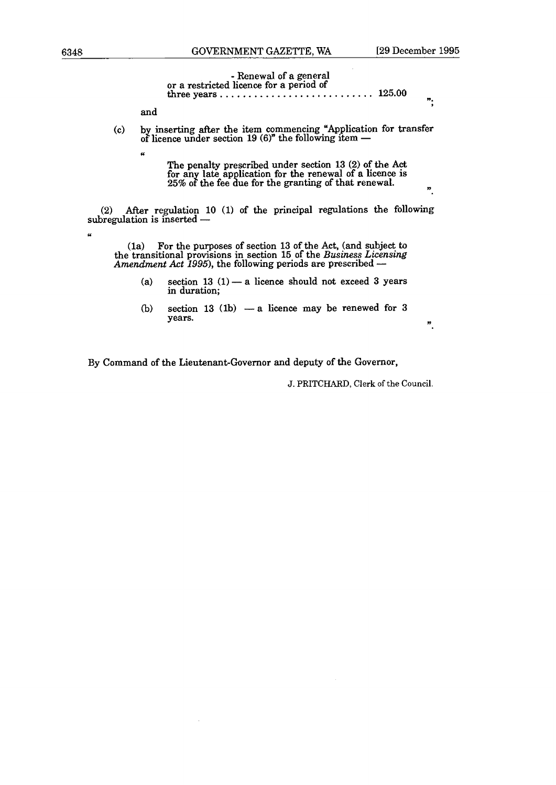**n**,

### - Renewal of a general

| or a restricted licence for a period of |    |
|-----------------------------------------|----|
|                                         | я. |
|                                         |    |

and

 $\alpha$ 

c) by inserting after the item commencing "Application for transfer of inserting after the item commencing "Application for inserting after the item commencing "Application for the following item  $-$ 

> The penalty prescribed under section 13 (2) of the **Act**  for any late application for the renewal of a licence is  $25\%$  of the fee due for the granting of that renewal.

(2) After regulation 10 (1) of the principal regulations the following subregulation is inserted  $-$ 

(la) For the purposes of section 13 of the Act, (and subject to the transitional provisions in section 15 of the *Business Licensing Amenclment Act* 1995), the following periods are prescribed -

- (a) section 13 (1) a licence should not exceed 3 years<br>in duration;
- (b) section  $13$  (1b) a licence may be renewed for 3 years.  $y$ ears.  $y$

By Command of the Lieutenant-Governor and deputy of the Governor,

J. **PRITCHARD,** Clerk of the **Council.** 

**U**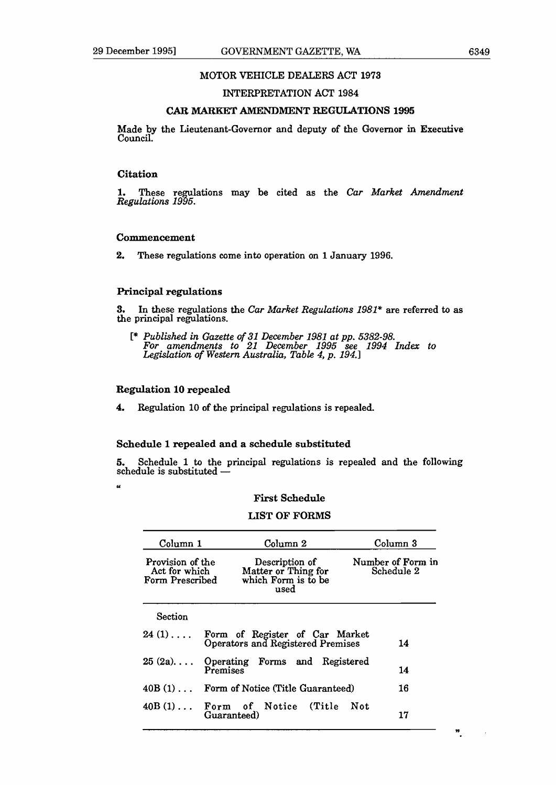### MOTOR VEHICLE DEALERS ACT 1973

### INTERPRETATION ACT 1984

### CAR **MARKET GMENDlMENT REGULATIONS 1995**

Made by the Lieutenant-Governor and deputy of the Governor in Executive Council.

### **Citation**

1. These regulations may be cited as the *Car Market Amendment Regulations 1995.* 

### **Commencement**

**2.** These regulations come into operation on 1 January 1996.

### **Principal regulations**

**3.** In these regulations the *Car Market Regulations 198P* are referred **to** as the principal regulations.

[\* *Published in Gazette of 31 December 1981 at pp. 5382-98. For amendments to 21 December 1995 see 1994* **Index** *to Legislation of Western Australia, Table 4, p. 194.1* 

### **Regulation 10 repealed**

**4.** Regulation 10 of the principal regulations is repealed.

### **Schedule 1 repealed and a schedule substituted**

**5.** Schedule 1 to the principal regulations is repealed and the following schedule is substituted -

**U** 

### First **Schedule**

### **LIST OF FORMS**

| Column 1                                             | Column 2                                                             | Column 3                        |
|------------------------------------------------------|----------------------------------------------------------------------|---------------------------------|
| Provision of the<br>Act for which<br>Form Prescribed | Description of<br>Matter or Thing for<br>which Form is to be<br>used | Number of Form in<br>Schedule 2 |
| Section                                              |                                                                      |                                 |
| $24(1)$                                              | Form of Register of Car Market<br>Operators and Registered Premises  | 14                              |
| $25(2a)$                                             | Operating Forms and Registered<br>Premises                           | 14                              |
| $40B(1) \ldots$                                      | Form of Notice (Title Guaranteed)                                    | 16                              |
| $40B(1) \ldots$                                      | Form of Notice (Title<br>Guaranteed)                                 | Not<br>17                       |

 $\frac{1}{2}$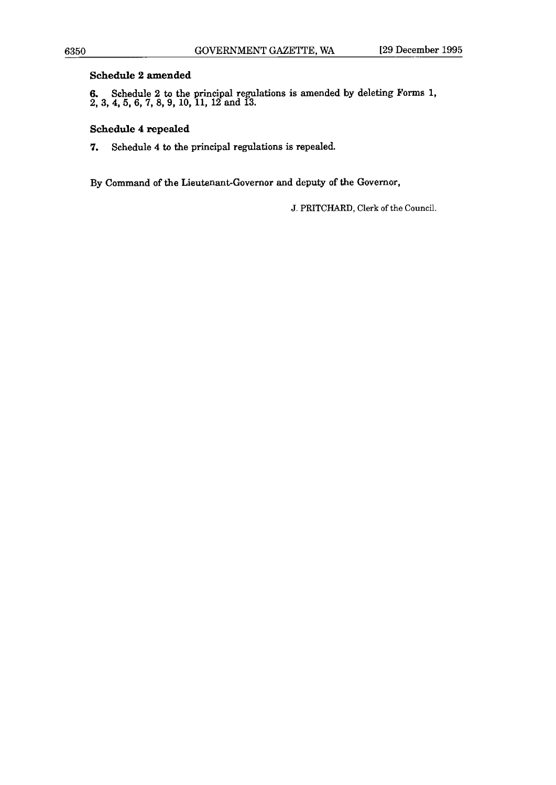### **Schedule 2 amended**

6. Schedule 2 to the principal regulations is amended by deleting Forms 1, 2, 3, 4, 5, 6, 7, 8, 9, 10, 11, 12 and 13.

### **Schedule 4 repealed**

**7. Schedule 4 to the principal regulations is repealed.** 

**By Command of the Lieutenant-Governor and deputy of the Governor,** 

J. **PRITCHARD, Clerk** of the Council.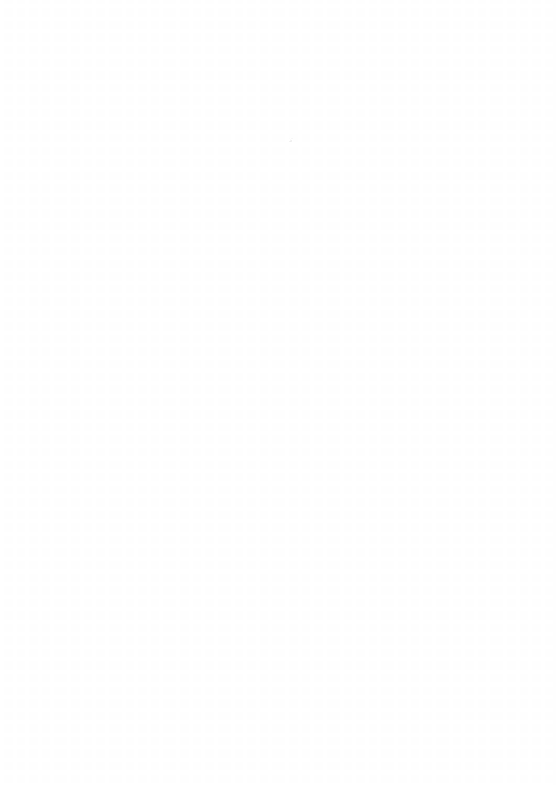$\label{eq:2.1} \frac{1}{\sqrt{2}}\int_{0}^{\infty}\frac{1}{\sqrt{2\pi}}\left(\frac{1}{\sqrt{2\pi}}\right)^{2}d\mu\left(\frac{1}{\sqrt{2\pi}}\right)\frac{d\mu}{d\mu}d\mu\left(\frac{1}{\sqrt{2\pi}}\right).$